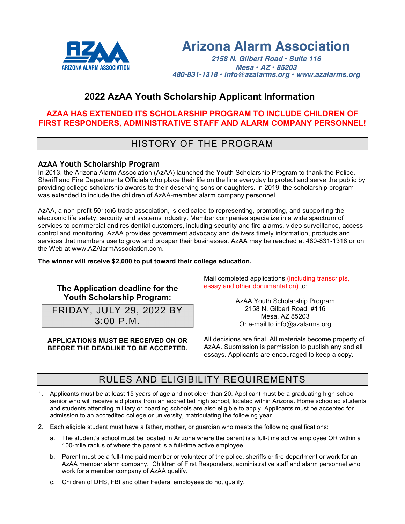

# **Arizona Alarm Association**

*2158 N. Gilbert Road • Suite 116 Mesa • AZ • 85203 480-831-1318 • info@azalarms.org • www.azalarms.org*

## **2022 AzAA Youth Scholarship Applicant Information**

### **AZAA HAS EXTENDED ITS SCHOLARSHIP PROGRAM TO INCLUDE CHILDREN OF FIRST RESPONDERS, ADMINISTRATIVE STAFF AND ALARM COMPANY PERSONNEL!**

## HISTORY OF THE PROGRAM

### **AzAA Youth Scholarship Program**

In 2013, the Arizona Alarm Association (AzAA) launched the Youth Scholarship Program to thank the Police, Sheriff and Fire Departments Officials who place their life on the line everyday to protect and serve the public by providing college scholarship awards to their deserving sons or daughters. In 2019, the scholarship program was extended to include the children of AzAA-member alarm company personnel.

AzAA, a non-profit 501(c)6 trade association, is dedicated to representing, promoting, and supporting the electronic life safety, security and systems industry. Member companies specialize in a wide spectrum of services to commercial and residential customers, including security and fire alarms, video surveillance, access control and monitoring. AzAA provides government advocacy and delivers timely information, products and services that members use to grow and prosper their businesses. AzAA may be reached at 480-831-1318 or on the Web at www.AZAlarmAssociation.com.

### **The winner will receive \$2,000 to put toward their college education.**



3:00 P.M.

**APPLICATIONS MUST BE RECEIVED ON OR BEFORE THE DEADLINE TO BE ACCEPTED.** Mail completed applications (including transcripts, essay and other documentation) to:

> AzAA Youth Scholarship Program 2158 N. Gilbert Road, #116 Mesa, AZ 85203 Or e-mail to info@azalarms.org

All decisions are final. All materials become property of AzAA. Submission is permission to publish any and all essays. Applicants are encouraged to keep a copy.

## RULES AND ELIGIBILITY REQUIREMENTS

- 1. Applicants must be at least 15 years of age and not older than 20. Applicant must be a graduating high school senior who will receive a diploma from an accredited high school, located within Arizona. Home schooled students and students attending military or boarding schools are also eligible to apply. Applicants must be accepted for admission to an accredited college or university, matriculating the following year.
- 2. Each eligible student must have a father, mother, or guardian who meets the following qualifications:
	- a. The student's school must be located in Arizona where the parent is a full-time active employee OR within a 100-mile radius of where the parent is a full-time active employee.
	- b. Parent must be a full-time paid member or volunteer of the police, sheriffs or fire department or work for an AzAA member alarm company. Children of First Responders, administrative staff and alarm personnel who work for a member company of AzAA qualify.
	- c. Children of DHS, FBI and other Federal employees do not qualify.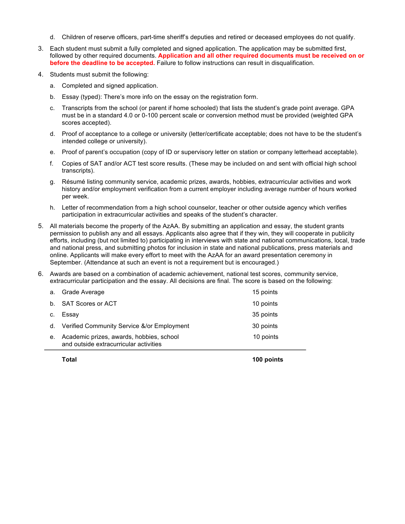- d. Children of reserve officers, part-time sheriff's deputies and retired or deceased employees do not qualify.
- 3. Each student must submit a fully completed and signed application. The application may be submitted first, followed by other required documents. **Application and all other required documents must be received on or before the deadline to be accepted.** Failure to follow instructions can result in disqualification.
- 4. Students must submit the following:
	- a. Completed and signed application.
	- b. Essay (typed): There's more info on the essay on the registration form.
	- c. Transcripts from the school (or parent if home schooled) that lists the student's grade point average. GPA must be in a standard 4.0 or 0-100 percent scale or conversion method must be provided (weighted GPA scores accepted).
	- d. Proof of acceptance to a college or university (letter/certificate acceptable; does not have to be the student's intended college or university).
	- e. Proof of parent's occupation (copy of ID or supervisory letter on station or company letterhead acceptable).
	- f. Copies of SAT and/or ACT test score results. (These may be included on and sent with official high school transcripts).
	- g. Résumé listing community service, academic prizes, awards, hobbies, extracurricular activities and work history and/or employment verification from a current employer including average number of hours worked per week.
	- h. Letter of recommendation from a high school counselor, teacher or other outside agency which verifies participation in extracurricular activities and speaks of the student's character.
- 5. All materials become the property of the AzAA. By submitting an application and essay, the student grants permission to publish any and all essays. Applicants also agree that if they win, they will cooperate in publicity efforts, including (but not limited to) participating in interviews with state and national communications, local, trade and national press, and submitting photos for inclusion in state and national publications, press materials and online. Applicants will make every effort to meet with the AzAA for an award presentation ceremony in September. (Attendance at such an event is not a requirement but is encouraged.)
- 6. Awards are based on a combination of academic achievement, national test scores, community service, extracurricular participation and the essay. All decisions are final. The score is based on the following:

|    | a. Grade Average                                                                   | 15 points |
|----|------------------------------------------------------------------------------------|-----------|
|    | b. SAT Scores or ACT                                                               | 10 points |
|    | c. Essay                                                                           | 35 points |
|    | d. Verified Community Service &/or Employment                                      | 30 points |
| е. | Academic prizes, awards, hobbies, school<br>and outside extracurricular activities | 10 points |

**Total 100 points**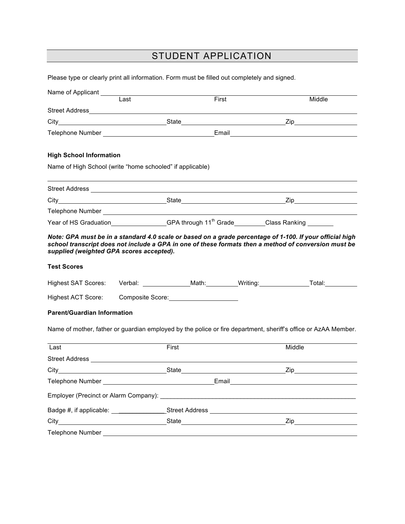# STUDENT APPLICATION

Please type or clearly print all information. Form must be filled out completely and signed.

| Name of Applicant ________                                                                  |      |                                                                                                    |                                                                                                                                                                                                                  |
|---------------------------------------------------------------------------------------------|------|----------------------------------------------------------------------------------------------------|------------------------------------------------------------------------------------------------------------------------------------------------------------------------------------------------------------------|
|                                                                                             | Last | First                                                                                              | Middle                                                                                                                                                                                                           |
| <b>Street Address</b>                                                                       |      |                                                                                                    |                                                                                                                                                                                                                  |
|                                                                                             |      |                                                                                                    |                                                                                                                                                                                                                  |
| Telephone Number Number Number Number Number Number Number Number Number Number 1989        |      |                                                                                                    | Email <b>Executive Service Service Service Service</b>                                                                                                                                                           |
| <b>High School Information</b><br>Name of High School (write "home schooled" if applicable) |      |                                                                                                    |                                                                                                                                                                                                                  |
|                                                                                             |      |                                                                                                    |                                                                                                                                                                                                                  |
|                                                                                             |      |                                                                                                    |                                                                                                                                                                                                                  |
| Telephone Number <b>Example 2018</b>                                                        |      |                                                                                                    |                                                                                                                                                                                                                  |
|                                                                                             |      | Year of HS Graduation______________GPA through 11 <sup>th</sup> Grade________Class Ranking _______ |                                                                                                                                                                                                                  |
| supplied (weighted GPA scores accepted).                                                    |      |                                                                                                    | Note: GPA must be in a standard 4.0 scale or based on a grade percentage of 1-100. If your official high<br>school transcript does not include a GPA in one of these formats then a method of conversion must be |
| <b>Test Scores</b>                                                                          |      |                                                                                                    |                                                                                                                                                                                                                  |
|                                                                                             |      |                                                                                                    | Highest SAT Scores: Verbal: Math: Writing: Total: Total:                                                                                                                                                         |
| Highest ACT Score:                                                                          |      |                                                                                                    |                                                                                                                                                                                                                  |
| <b>Parent/Guardian Information</b>                                                          |      |                                                                                                    |                                                                                                                                                                                                                  |
|                                                                                             |      |                                                                                                    | Name of mother, father or guardian employed by the police or fire department, sheriff's office or AzAA Member.                                                                                                   |
| Last                                                                                        |      | First                                                                                              | Middle                                                                                                                                                                                                           |
|                                                                                             |      |                                                                                                    |                                                                                                                                                                                                                  |
|                                                                                             |      |                                                                                                    |                                                                                                                                                                                                                  |
|                                                                                             |      |                                                                                                    |                                                                                                                                                                                                                  |
|                                                                                             |      |                                                                                                    |                                                                                                                                                                                                                  |
|                                                                                             |      | Badge #, if applicable: ______________________Street Address ____________________                  |                                                                                                                                                                                                                  |
|                                                                                             |      |                                                                                                    |                                                                                                                                                                                                                  |
| Telephone Number                                                                            |      |                                                                                                    |                                                                                                                                                                                                                  |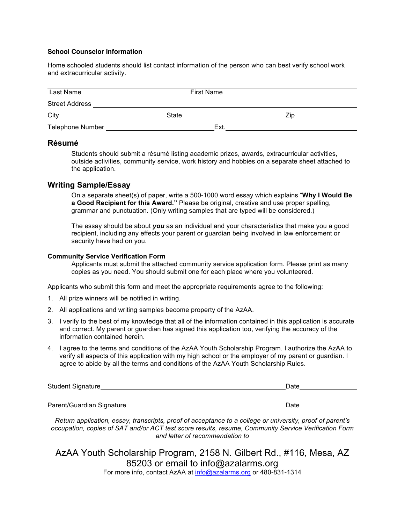#### **School Counselor Information**

Home schooled students should list contact information of the person who can best verify school work and extracurricular activity.

| Last Name               | <b>First Name</b> |     |
|-------------------------|-------------------|-----|
| <b>Street Address</b>   |                   |     |
| City                    | State             | Zin |
| <b>Telephone Number</b> | Ext.              |     |

### **Résumé**

Students should submit a résumé listing academic prizes, awards, extracurricular activities, outside activities, community service, work history and hobbies on a separate sheet attached to the application.

### **Writing Sample/Essay**

On a separate sheet(s) of paper, write a 500-1000 word essay which explains "**Why I Would Be a Good Recipient for this Award."** Please be original, creative and use proper spelling, grammar and punctuation. (Only writing samples that are typed will be considered.)

The essay should be about *you* as an individual and your characteristics that make you a good recipient, including any effects your parent or guardian being involved in law enforcement or security have had on you.

#### **Community Service Verification Form**

Applicants must submit the attached community service application form. Please print as many copies as you need. You should submit one for each place where you volunteered.

Applicants who submit this form and meet the appropriate requirements agree to the following:

- 1. All prize winners will be notified in writing.
- 2. All applications and writing samples become property of the AzAA.
- 3. I verify to the best of my knowledge that all of the information contained in this application is accurate and correct. My parent or guardian has signed this application too, verifying the accuracy of the information contained herein.
- 4. I agree to the terms and conditions of the AzAA Youth Scholarship Program. I authorize the AzAA to verify all aspects of this application with my high school or the employer of my parent or guardian. I agree to abide by all the terms and conditions of the AzAA Youth Scholarship Rules.

| Student Signature | <b>Date</b> |
|-------------------|-------------|
|                   |             |

Parent/Guardian Signature **Date** Date Date **Date** Date Date

*Return application, essay, transcripts, proof of acceptance to a college or university, proof of parent's occupation, copies of SAT and/or ACT test score results, resume, Community Service Verification Form and letter of recommendation to*

AzAA Youth Scholarship Program, 2158 N. Gilbert Rd., #116, Mesa, AZ 85203 or email to info@azalarms.org

For more info, contact AzAA at info@azalarms.org or 480-831-1314